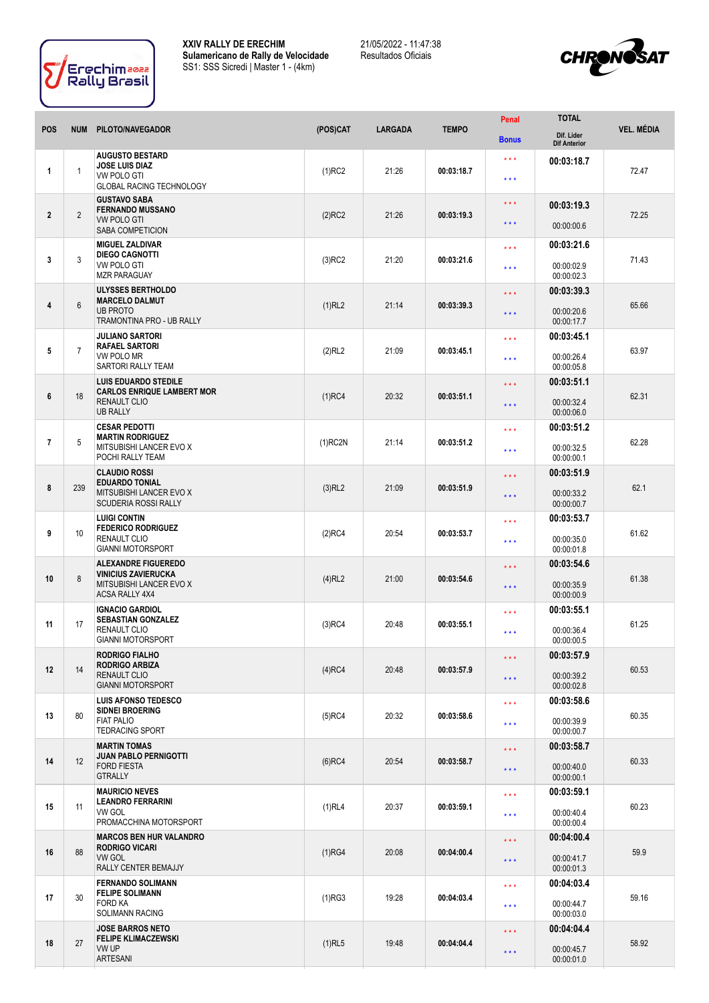



|                 | <b>NUM</b>      |                                                                                                              |            | <b>LARGADA</b> | <b>TEMPO</b> | Penal                                              | <b>TOTAL</b>                           | <b>VEL. MÉDIA</b> |
|-----------------|-----------------|--------------------------------------------------------------------------------------------------------------|------------|----------------|--------------|----------------------------------------------------|----------------------------------------|-------------------|
| <b>POS</b>      |                 | PILOTO/NAVEGADOR                                                                                             | (POS)CAT   |                |              | <b>Bonus</b>                                       | Dif. Lider<br><b>Dif Anterior</b>      |                   |
| 1               | 1               | <b>AUGUSTO BESTARD</b><br><b>JOSE LUIS DIAZ</b><br><b>VW POLO GTI</b><br><b>GLOBAL RACING TECHNOLOGY</b>     | $(1)$ RC2  | 21:26          | 00:03:18.7   | $\star\star\star$<br>$\star$ $\star$ $\star$       | 00:03:18.7                             | 72.47             |
| $\overline{2}$  | $\overline{2}$  | <b>GUSTAVO SABA</b><br><b>FERNANDO MUSSANO</b><br><b>VW POLO GTI</b><br>SABA COMPETICION                     | $(2)$ RC2  | 21:26          | 00:03:19.3   | * * *<br>$\star \star \star$                       | 00:03:19.3<br>00:00:00.6               | 72.25             |
| 3               | 3               | <b>MIGUEL ZALDIVAR</b><br><b>DIEGO CAGNOTTI</b><br>VW POLO GTI<br><b>MZR PARAGUAY</b>                        | $(3)$ RC2  | 21:20          | 00:03:21.6   | $\star \star \star$<br>$\star \star \star$         | 00:03:21.6<br>00:00:02.9<br>00:00:02.3 | 71.43             |
| 4               | $6\phantom{1}6$ | <b>ULYSSES BERTHOLDO</b><br><b>MARCELO DALMUT</b><br><b>UB PROTO</b><br>TRAMONTINA PRO - UB RALLY            | (1)RL2     | 21:14          | 00:03:39.3   | * * *<br>* * *                                     | 00:03:39.3<br>00:00:20.6<br>00:00:17.7 | 65.66             |
| 5               | $\overline{7}$  | <b>JULIANO SARTORI</b><br><b>RAFAEL SARTORI</b><br>VW POLO MR<br>SARTORI RALLY TEAM                          | (2)RL2     | 21:09          | 00:03:45.1   | $\star\star\star$<br>$\star\star\star$             | 00:03:45.1<br>00:00:26.4<br>00:00:05.8 | 63.97             |
| 6               | 18              | <b>LUIS EDUARDO STEDILE</b><br><b>CARLOS ENRIQUE LAMBERT MOR</b><br>RENAULT CLIO<br><b>UB RALLY</b>          | $(1)$ RC4  | 20:32          | 00:03:51.1   | $\star\star\star$<br>$***$                         | 00:03:51.1<br>00:00:32.4<br>00:00:06.0 | 62.31             |
| $\overline{7}$  | 5               | <b>CESAR PEDOTTI</b><br><b>MARTIN RODRIGUEZ</b><br>MITSUBISHI LANCER EVO X<br>POCHI RALLY TEAM               | $(1)$ RC2N | 21:14          | 00:03:51.2   | $\star \star \star$<br>$* * *$                     | 00:03:51.2<br>00:00:32.5<br>00:00:00.1 | 62.28             |
| 8               | 239             | <b>CLAUDIO ROSSI</b><br><b>EDUARDO TONIAL</b><br>MITSUBISHI LANCER EVO X<br><b>SCUDERIA ROSSI RALLY</b>      | $(3)$ RL2  | 21:09          | 00:03:51.9   | $\star \star \star$<br>* * *                       | 00:03:51.9<br>00:00:33.2<br>00:00:00.7 | 62.1              |
| 9               | 10              | <b>LUIGI CONTIN</b><br><b>FEDERICO RODRIGUEZ</b><br><b>RENAULT CLIO</b><br><b>GIANNI MOTORSPORT</b>          | $(2)$ RC4  | 20:54          | 00:03:53.7   | $\star \star \star$<br>$* * *$                     | 00:03:53.7<br>00:00:35.0<br>00:00:01.8 | 61.62             |
| 10              | 8               | <b>ALEXANDRE FIGUEREDO</b><br><b>VINICIUS ZAVIERUCKA</b><br>MITSUBISHI LANCER EVO X<br><b>ACSA RALLY 4X4</b> | $(4)$ RL2  | 21:00          | 00:03:54.6   | $\star\star\star$<br>* * *                         | 00:03:54.6<br>00:00:35.9<br>00:00:00.9 | 61.38             |
| 11              | 17              | <b>IGNACIO GARDIOL</b><br><b>SEBASTIAN GONZALEZ</b><br><b>RENAULT CLIO</b><br><b>GIANNI MOTORSPORT</b>       | $(3)$ RC4  | 20:48          | 00:03:55.1   | $\star$ $\star$ $\star$<br>$\star\star\star$       | 00:03:55.1<br>00:00:36.4<br>00:00:00.5 | 61.25             |
| 12 <sup>2</sup> | 14              | RODRIGO FIALHO<br><b>RODRIGO ARBIZA</b><br><b>RENAULT CLIO</b><br><b>GIANNI MOTORSPORT</b>                   | $(4)$ RC4  | 20:48          | 00:03:57.9   | $\star$ $\star$ $\star$<br>$\star$ $\star$ $\star$ | 00:03:57.9<br>00:00:39.2<br>00:00:02.8 | 60.53             |
| 13              | 80              | <b>LUIS AFONSO TEDESCO</b><br><b>SIDNEI BROERING</b><br><b>FIAT PALIO</b><br><b>TEDRACING SPORT</b>          | $(5)$ RC4  | 20:32          | 00:03:58.6   | $\star\star\star$<br>$\star\star\star$             | 00:03:58.6<br>00:00:39.9<br>00:00:00.7 | 60.35             |
| 14              | 12              | <b>MARTIN TOMAS</b><br><b>JUAN PABLO PERNIGOTTI</b><br><b>FORD FIESTA</b><br><b>GTRALLY</b>                  | $(6)$ RC4  | 20:54          | 00:03:58.7   | $\star \star \star$<br>$\star$ $\star$ $\star$     | 00:03:58.7<br>00:00:40.0<br>00:00:00.1 | 60.33             |
| 15              | 11              | <b>MAURICIO NEVES</b><br><b>LEANDRO FERRARINI</b><br>VW GOL<br>PROMACCHINA MOTORSPORT                        | $(1)$ RL4  | 20:37          | 00:03:59.1   | $\star$ $\star$ $\star$<br>$\star\star\star$       | 00:03:59.1<br>00:00:40.4<br>00:00:00.4 | 60.23             |
| 16              | 88              | <b>MARCOS BEN HUR VALANDRO</b><br><b>RODRIGO VICARI</b><br>VW GOL<br>RALLY CENTER BEMAJJY                    | (1)RG4     | 20:08          | 00:04:00.4   | $\star$ $\star$ $\star$<br>$\star$ $\star$ $\star$ | 00:04:00.4<br>00:00:41.7<br>00:00:01.3 | 59.9              |
| 17              | 30              | <b>FERNANDO SOLIMANN</b><br><b>FELIPE SOLIMANN</b><br>FORD KA<br><b>SOLIMANN RACING</b>                      | (1)RG3     | 19:28          | 00:04:03.4   | $\star\star\star$<br>$\star$ $\star$ $\star$       | 00:04:03.4<br>00:00:44.7<br>00:00:03.0 | 59.16             |
| 18              | 27              | <b>JOSE BARROS NETO</b><br><b>FELIPE KLIMACZEWSKI</b><br>VW UP<br>ARTESANI                                   | $(1)$ RL5  | 19:48          | 00:04:04.4   | $\star$ $\star$ $\star$<br>$\star\star\star$       | 00:04:04.4<br>00:00:45.7<br>00:00:01.0 | 58.92             |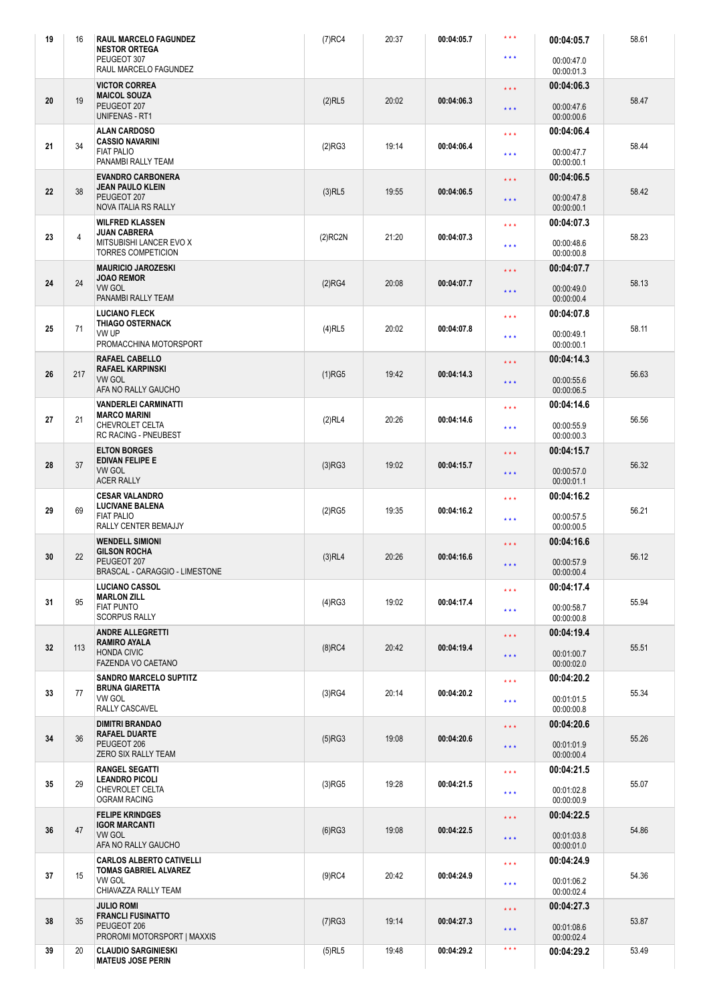| 19 | 16             | <b>RAUL MARCELO FAGUNDEZ</b><br><b>NESTOR ORTEGA</b><br>PEUGEOT 307<br>RAUL MARCELO FAGUNDEZ                                                                               | $(7)$ RC4                                                                          | 20:37 | $\star$ $\star$ $\star$<br>00:04:05.7<br>00:04:05.7<br>* * *<br>00:00:47.0<br>00:00:01.3 |                                                          |                                                      | 58.61 |
|----|----------------|----------------------------------------------------------------------------------------------------------------------------------------------------------------------------|------------------------------------------------------------------------------------|-------|------------------------------------------------------------------------------------------|----------------------------------------------------------|------------------------------------------------------|-------|
| 20 | 19             | <b>VICTOR CORREA</b><br><b>MAICOL SOUZA</b><br>PEUGEOT 207                                                                                                                 | $(2)$ RL5                                                                          | 20:02 | 00:04:06.3                                                                               | $\star$ $\star$ $\star$<br>$\star\star\star$             | 00:04:06.3<br>00:00:47.6                             | 58.47 |
| 21 | 34             | <b>UNIFENAS - RT1</b><br><b>ALAN CARDOSO</b><br><b>CASSIO NAVARINI</b><br><b>FIAT PALIO</b>                                                                                | (2)RG3                                                                             | 19:14 | 00:04:06.4                                                                               | $\star \star \star$<br>$\star \star \star$               | 00:00:00.6<br>00:04:06.4<br>00:00:47.7               | 58.44 |
| 22 | 38             | PANAMBI RALLY TEAM<br><b>EVANDRO CARBONERA</b><br><b>JEAN PAULO KLEIN</b><br>PEUGEOT 207<br><b>NOVA ITALIA RS RALLY</b>                                                    | $(3)$ RL5                                                                          | 19:55 | 00:04:06.5                                                                               | * * *<br>* * *                                           | 00:00:00.1<br>00:04:06.5<br>00:00:47.8<br>00:00:00.1 | 58.42 |
| 23 | $\overline{4}$ | <b>WILFRED KLASSEN</b><br>* * *<br><b>JUAN CABRERA</b><br>$(2)$ RC2N<br>21:20<br>00:04:07.3<br>MITSUBISHI LANCER EVO X<br>$\star \star \star$<br><b>TORRES COMPETICION</b> |                                                                                    |       | 00:04:07.3<br>00:00:48.6<br>00:00:00.8                                                   | 58.23                                                    |                                                      |       |
| 24 | 24             | <b>MAURICIO JAROZESKI</b><br>* * *<br><b>JOAO REMOR</b><br>20:08<br>(2)RG4<br>00:04:07.7<br><b>VW GOL</b><br>* * *<br>PANAMBI RALLY TEAM                                   |                                                                                    |       | 00:04:07.7<br>00:00:49.0<br>00:00:00.4                                                   | 58.13                                                    |                                                      |       |
| 25 | 71             | <b>LUCIANO FLECK</b><br><b>THIAGO OSTERNACK</b><br>VW UP<br>PROMACCHINA MOTORSPORT                                                                                         | $\star$ $\star$ $\star$<br>$(4)$ RL5<br>20:02<br>00:04:07.8<br>$\star \star \star$ |       |                                                                                          | 00:04:07.8<br>00:00:49.1<br>00:00:00.1                   | 58.11                                                |       |
| 26 | 217            | <b>RAFAEL CABELLO</b><br><b>RAFAEL KARPINSKI</b><br><b>VW GOL</b><br>AFA NO RALLY GAUCHO                                                                                   | * * *<br>$(1)$ RG5<br>19:42<br>00:04:14.3<br>$***$                                 |       |                                                                                          | 00:04:14.3<br>00:00:55.6<br>00:00:06.5                   | 56.63                                                |       |
| 27 | 21             | <b>VANDERLEI CARMINATTI</b><br>$\star \star \star$<br><b>MARCO MARINI</b><br>(2)RL4<br>20:26<br>00:04:14.6<br>CHEVROLET CELTA<br>$***$<br><b>RC RACING - PNEUBEST</b>      |                                                                                    |       | 00:04:14.6<br>00:00:55.9<br>00:00:00.3                                                   | 56.56                                                    |                                                      |       |
| 28 | 37             | <b>ELTON BORGES</b><br>EDIVAN FELIPE E<br><b>VW GOL</b><br><b>ACER RALLY</b>                                                                                               | (3)RG3                                                                             | 19:02 | 00:04:15.7                                                                               | 00:04:15.7<br>* * *<br>00:00:57.0<br>* * *<br>00:00:01.1 |                                                      | 56.32 |
| 29 | 69             | <b>CESAR VALANDRO</b><br><b>LUCIVANE BALENA</b><br><b>FIAT PALIO</b><br>RALLY CENTER BEMAJJY                                                                               | $\star \star \star$<br>19:35<br>(2)RG5<br>00:04:16.2<br>$\star \star \star$        |       |                                                                                          | 00:04:16.2<br>00:00:57.5<br>00:00:00.5                   | 56.21                                                |       |
| 30 | 22             | <b>WENDELL SIMIONI</b><br>$\star$ $\star$ $\star$<br><b>GILSON ROCHA</b><br>20:26<br>00:04:16.6<br>$(3)$ RL4<br>PEUGEOT 207<br>* * *<br>BRASCAL - CARAGGIO - LIMESTONE     |                                                                                    |       | 00:04:16.6<br>00:00:57.9<br>00:00:00.4                                                   | 56.12                                                    |                                                      |       |
| 31 | 95             | <b>LUCIANO CASSOL</b><br><b>MARLON ZILL</b><br><b>FIAT PUNTO</b><br><b>SCORPUS RALLY</b>                                                                                   | (4)RG3                                                                             | 19:02 | 00:04:17.4                                                                               | $\star$ $\star$ $\star$<br>$\star \star \star$           | 00:04:17.4<br>00:00:58.7<br>00:00:00.8               | 55.94 |
| 32 | 113            | <b>ANDRE ALLEGRETTI</b><br><b>RAMIRO AYALA</b><br><b>HONDA CIVIC</b><br><b>FAZENDA VO CAETANO</b>                                                                          | $(8)$ RC4                                                                          | 20:42 | 00:04:19.4                                                                               | $\star\star\star$<br>$\star \star \star$                 | 00:04:19.4<br>00:01:00.7<br>00:00:02.0               | 55.51 |
| 33 | 77             | <b>SANDRO MARCELO SUPTITZ</b><br><b>BRUNA GIARETTA</b><br>VW GOL<br>RALLY CASCAVEL                                                                                         | (3)RG4                                                                             | 20:14 | 00:04:20.2                                                                               | $\star$ $\star$ $\star$<br>$\star$ $\star$ $\star$       | 00:04:20.2<br>00:01:01.5<br>00:00:00.8               | 55.34 |
| 34 | 36             | <b>DIMITRI BRANDAO</b><br>RAFAEL DUARTE<br>PEUGEOT 206<br>ZERO SIX RALLY TEAM                                                                                              | (5)RG3                                                                             | 19:08 | 00:04:20.6                                                                               | * * *<br>$\star$ $\star$ $\star$                         | 00:04:20.6<br>00:01:01.9<br>00:00:00.4               | 55.26 |
| 35 | 29             | <b>RANGEL SEGATTI</b><br><b>LEANDRO PICOLI</b><br>CHEVROLET CELTA<br><b>OGRAM RACING</b>                                                                                   | $(3)$ RG5                                                                          | 19:28 | 00:04:21.5                                                                               | $\star$ $\star$ $\star$<br>$\star$ $\star$ $\star$       | 00:04:21.5<br>00:01:02.8<br>00:00:00.9               | 55.07 |
| 36 | 47             | <b>FELIPE KRINDGES</b><br><b>IGOR MARCANTI</b><br><b>VW GOL</b><br>AFA NO RALLY GAUCHO                                                                                     | (6)RG3                                                                             | 19:08 | 00:04:22.5                                                                               | $\star\star\star$<br>$\star$ $\star$ $\star$             | 00:04:22.5<br>00:01:03.8<br>00:00:01.0               | 54.86 |
| 37 | 15             | <b>CARLOS ALBERTO CATIVELLI</b><br>TOMAS GABRIEL ALVAREZ<br><b>VW GOL</b><br>CHIAVAZZA RALLY TEAM                                                                          | $(9)$ RC4                                                                          | 20:42 | 00:04:24.9                                                                               | $\star$ $\star$ $\star$<br>$\star$ $\star$ $\star$       | 00:04:24.9<br>00:01:06.2<br>00:00:02.4               | 54.36 |
| 38 | 35             | <b>JULIO ROMI</b><br><b>FRANCLI FUSINATTO</b><br>PEUGEOT 206<br>PROROMI MOTORSPORT   MAXXIS                                                                                | (7)RG3                                                                             | 19:14 | 00:04:27.3                                                                               | $\star\star\star$<br>$\star \star \star$                 | 00:04:27.3<br>00:01:08.6<br>00:00:02.4               | 53.87 |
| 39 | 20             | <b>CLAUDIO SARGINIESKI</b><br><b>MATEUS JOSE PERIN</b>                                                                                                                     | $(5)$ RL5                                                                          | 19:48 | 00:04:29.2                                                                               | $\star$ $\star$ $\star$                                  | 00:04:29.2                                           | 53.49 |